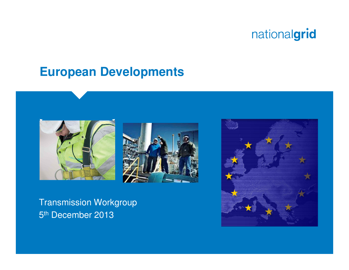#### **European Developments**





Transmission Workgroup5<sup>th</sup> December 2013

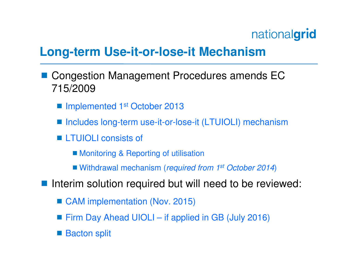#### **Long-term Use-it-or-lose-it Mechanism**

- **Contract Contract Contract Contract Contract Contract Contract Contract Contract Contract Contract Contract Co**  Congestion Management Procedures amends EC 715/2009
	- Implemented 1<sup>st</sup> October 2013
	- Includes long-term use-it-or-lose-it (LTUIOLI) mechanism
	- LTUIOLI consists of
		- **Monitoring & Reporting of utilisation**
		- Withdrawal mechanism (required from 1<sup>st</sup> October 2014)
- **Contract Contract Contract Contract Contract Contract Contract Contract Contract Contract Contract Contract Co**  Interim solution required but will need to be reviewed:
	- CAM implementation (Nov. 2015)
	- Firm Day Ahead UIOLI if applied in GB (July 2016)
	- **STATE OF STATE OF STATE OF STATE OF STATE OF STATE OF STATE OF STATE OF STATE OF STATE OF STATE OF STATE OF S** Bacton split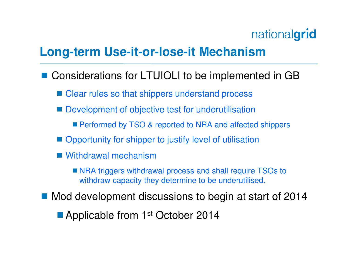### **Long-term Use-it-or-lose-it Mechanism**

- Considerations for LTUIOLI to be implemented in GB
	- Clear rules so that shippers understand process
	- Development of objective test for underutilisation
		- **Performed by TSO & reported to NRA and affected shippers**
	- Opportunity for shipper to justify level of utilisation
	- Withdrawal mechanism
		- NRA triggers withdrawal process and shall require TSOs to withdraw capacity they determine to be underutilised.
- Mod development discussions to begin at start of 2014
	- Applicable from 1<sup>st</sup> October 2014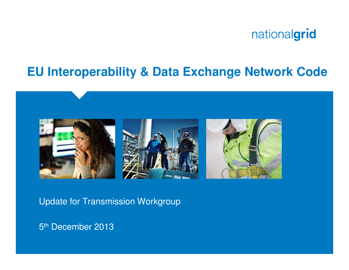

#### **EU Interoperability & Data Exchange Network Code**



Update for Transmission Workgroup

5<sup>th</sup> December 2013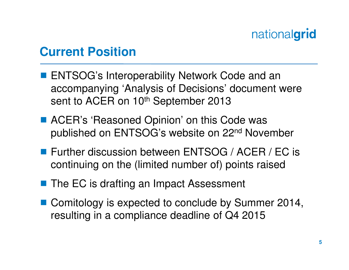### **Current Position**

- **STATE OF STATE OF STATE OF STATE OF STATE OF STATE OF STATE OF STATE OF STATE OF STATE OF STATE OF STATE OF S**  ENTSOG's Interoperability Network Code and an accompanying 'Analysis of Decisions' document were sent to ACER on 10<sup>th</sup> September 2013
- ACER's 'Reasoned Opinion' on this Code was<br>Bublished on ENTSOG's website on 22nd Nove published on ENTSOG's website on 22nd November
- Further discussion between ENTSOG / ACER / EC is<br>continuing on the (limited number of) points raised continuing on the (limited number of) points raised
- The EC is drafting an Impact Assessment
- Comitology is expected to conclude by Summer 2014, resulting in a compliance deadline of Q4 2015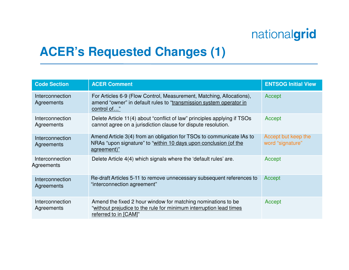## **ACER's Requested Changes (1)**

| <b>Code Section</b>                  | <b>ACER Comment</b>                                                                                                                                         | <b>ENTSOG Initial View</b>              |
|--------------------------------------|-------------------------------------------------------------------------------------------------------------------------------------------------------------|-----------------------------------------|
| Interconnection<br>Agreements        | For Articles 6-9 (Flow Control, Measurement, Matching, Allocations),<br>amend "owner" in default rules to "transmission system operator in<br>control of"   | Accept                                  |
| Interconnection<br>Agreements        | Delete Article 11(4) about "conflict of law" principles applying if TSOs<br>cannot agree on a jurisdiction clause for dispute resolution.                   | Accept                                  |
| <b>Interconnection</b><br>Agreements | Amend Article 3(4) from an obligation for TSOs to communicate IAs to<br>NRAs "upon signature" to "within 10 days upon conclusion (of the<br>agreement)"     | Accept but keep the<br>word "signature" |
| Interconnection<br>Agreements        | Delete Article 4(4) which signals where the 'default rules' are.                                                                                            | Accept                                  |
| Interconnection<br>Agreements        | Re-draft Articles 5-11 to remove unnecessary subsequent references to<br>"interconnection agreement"                                                        | Accept                                  |
| Interconnection<br>Agreements        | Amend the fixed 2 hour window for matching nominations to be<br>"without prejudice to the rule for minimum interruption lead times<br>referred to in [CAM]" | Accept                                  |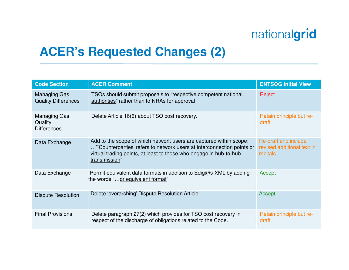## **ACER's Requested Changes (2)**

| <b>Code Section</b>                                  | <b>ACER Comment</b>                                                                                                                                                                                                                 | <b>ENTSOG Initial View</b>                                            |
|------------------------------------------------------|-------------------------------------------------------------------------------------------------------------------------------------------------------------------------------------------------------------------------------------|-----------------------------------------------------------------------|
| <b>Managing Gas</b><br><b>Quality Differences</b>    | TSOs should submit proposals to "respective competent national<br>authorities" rather than to NRAs for approval                                                                                                                     | Reject                                                                |
| <b>Managing Gas</b><br>Quality<br><b>Differences</b> | Delete Article 16(6) about TSO cost recovery.                                                                                                                                                                                       | Retain principle but re-<br>draft                                     |
| Data Exchange                                        | Add to the scope of which network users are captured within scope:<br>" Counterparties' refers to network users at interconnection points or<br>virtual trading points, at least to those who engage in hub-to-hub<br>transmission" | Re-draft and include<br>revised additional text in<br><b>recitals</b> |
| Data Exchange                                        | Permit equivalent data formats in addition to Edig@s-XML by adding<br>the words "or equivalent format"                                                                                                                              | Accept                                                                |
| <b>Dispute Resolution</b>                            | Delete 'overarching' Dispute Resolution Article                                                                                                                                                                                     | Accept                                                                |
| <b>Final Provisions</b>                              | Delete paragraph 27(2) which provides for TSO cost recovery in<br>respect of the discharge of obligations related to the Code.                                                                                                      | Retain principle but re-<br>draft                                     |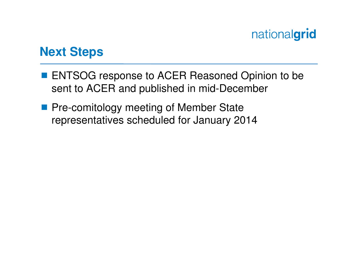

#### **Next Steps**

- **ENTSOG response to ACER Reasoned Opinion to be**<br>Sept to ACER and published in mid December sent to ACER and published in mid-December
- **Pre-comitology meeting of Member State**<br>Ferrescontatives schoduled for January 20 representatives scheduled for January 2014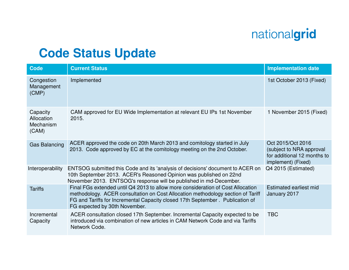## **Code Status Update**

| <b>Code</b>                                  | <b>Current Status</b>                                                                                                                                                                                                                                                                 | <b>Implementation date</b>                                                                         |
|----------------------------------------------|---------------------------------------------------------------------------------------------------------------------------------------------------------------------------------------------------------------------------------------------------------------------------------------|----------------------------------------------------------------------------------------------------|
| Congestion<br>Management<br>(CMP)            | Implemented                                                                                                                                                                                                                                                                           | 1st October 2013 (Fixed)                                                                           |
| Capacity<br>Allocation<br>Mechanism<br>(CAM) | CAM approved for EU Wide Implementation at relevant EU IPs 1st November<br>2015.                                                                                                                                                                                                      | 1 November 2015 (Fixed)                                                                            |
| <b>Gas Balancing</b>                         | ACER approved the code on 20th March 2013 and comitology started in July<br>2013. Code approved by EC at the comitology meeting on the 2nd October.                                                                                                                                   | Oct 2015/Oct 2016<br>(subject to NRA approval<br>for additional 12 months to<br>implement) (Fixed) |
| Interoperability                             | ENTSOG submitted this Code and its 'analysis of decisions' document to ACER on<br>10th September 2013. ACER's Reasoned Opinion was published on 22nd<br>November 2013. ENTSOG's response will be published in md-December.                                                            | Q4 2015 (Estimated)                                                                                |
| <b>Tariffs</b>                               | Final FGs extended until Q4 2013 to allow more consideration of Cost Allocation<br>methodology. ACER consultation on Cost Allocation methodology section of Tariff<br>FG and Tariffs for Incremental Capacity closed 17th September . Publication of<br>FG expected by 30th November. | Estimated earliest mid<br>January 2017                                                             |
| Incremental<br>Capacity                      | ACER consultation closed 17th September. Incremental Capacity expected to be<br>introduced via combination of new articles in CAM Network Code and via Tariffs<br>Network Code.                                                                                                       | <b>TBC</b>                                                                                         |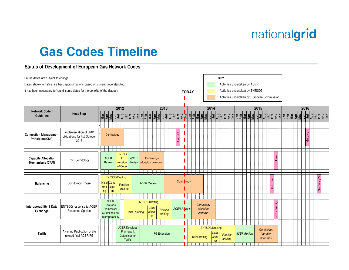#### **Gas Codes Timeline**

#### **Status of Development of European Gas Network Codes**

|                                                                                       | Future dates are subject to change |                                                             |                                                                                                                                                                                                                                     |    |  |                      |                |               |                           |  |  |                               |                     |  |  |          | <b>KEY</b>                      |  |     |                  |      |            |    |                                              |                        |          |          |      |  |  |  |                          |  |  |            |  |  |                          |    |  |  |  |      |     |          |  |  |  |
|---------------------------------------------------------------------------------------|------------------------------------|-------------------------------------------------------------|-------------------------------------------------------------------------------------------------------------------------------------------------------------------------------------------------------------------------------------|----|--|----------------------|----------------|---------------|---------------------------|--|--|-------------------------------|---------------------|--|--|----------|---------------------------------|--|-----|------------------|------|------------|----|----------------------------------------------|------------------------|----------|----------|------|--|--|--|--------------------------|--|--|------------|--|--|--------------------------|----|--|--|--|------|-----|----------|--|--|--|
| Dates shown in <i>italics</i> are best approximations based on current understanding. |                                    |                                                             |                                                                                                                                                                                                                                     |    |  |                      |                |               |                           |  |  | Activities undertaken by ACER |                     |  |  |          |                                 |  |     |                  |      |            |    |                                              |                        |          |          |      |  |  |  |                          |  |  |            |  |  |                          |    |  |  |  |      |     |          |  |  |  |
| It has been necessary to 'round' some dates for the benefits of the diagram           |                                    |                                                             |                                                                                                                                                                                                                                     |    |  |                      |                |               |                           |  |  |                               | <b>TODAY</b>        |  |  |          | Activities undertaken by ENTSOG |  |     |                  |      |            |    |                                              |                        |          |          |      |  |  |  |                          |  |  |            |  |  |                          |    |  |  |  |      |     |          |  |  |  |
|                                                                                       |                                    |                                                             |                                                                                                                                                                                                                                     |    |  |                      |                |               |                           |  |  |                               |                     |  |  |          |                                 |  |     |                  |      |            |    | Activities undertaken by European Commission |                        |          |          |      |  |  |  |                          |  |  |            |  |  |                          |    |  |  |  |      |     |          |  |  |  |
|                                                                                       |                                    |                                                             |                                                                                                                                                                                                                                     |    |  |                      |                |               |                           |  |  |                               |                     |  |  |          |                                 |  |     |                  |      |            |    |                                              |                        |          |          |      |  |  |  |                          |  |  |            |  |  |                          |    |  |  |  |      |     |          |  |  |  |
| Network Code /                                                                        | 2012                               |                                                             |                                                                                                                                                                                                                                     |    |  |                      |                |               | 2013                      |  |  |                               |                     |  |  |          |                                 |  |     |                  | 2014 |            |    |                                              |                        |          |          | 2015 |  |  |  |                          |  |  |            |  |  | 2016                     |    |  |  |  |      |     |          |  |  |  |
| Guideline                                                                             | <b>Next Step</b>                   |                                                             | <u> ब्रेक्षब्रेव विष्णु पुरुषि कार्या कार्य कार्य पुरुषि कार्या कार्य कार्य कार्या कार्य कार्य कार्य कार्य कार्य कार्य कार्य कार्य कार्य कार्य कार्य कार्य कार्य कार्य कार्य कार्य कार्य कार्य कार्य कार्य कार्य कार्य कार्य का</u> |    |  |                      |                |               |                           |  |  |                               |                     |  |  |          |                                 |  |     |                  |      |            |    |                                              |                        |          |          |      |  |  |  |                          |  |  |            |  |  |                          |    |  |  |  |      |     |          |  |  |  |
|                                                                                       |                                    |                                                             |                                                                                                                                                                                                                                     |    |  |                      |                |               |                           |  |  |                               |                     |  |  |          |                                 |  |     |                  |      |            |    |                                              |                        |          |          |      |  |  |  |                          |  |  |            |  |  |                          |    |  |  |  |      |     |          |  |  |  |
|                                                                                       |                                    |                                                             |                                                                                                                                                                                                                                     |    |  |                      |                |               |                           |  |  |                               |                     |  |  |          |                                 |  |     |                  |      |            |    |                                              |                        |          |          |      |  |  |  |                          |  |  |            |  |  |                          |    |  |  |  |      |     |          |  |  |  |
| Implementation of CMP<br><b>Congestion Management</b><br>obligations for 1st October  |                                    |                                                             | Comitology                                                                                                                                                                                                                          |    |  |                      |                |               |                           |  |  |                               |                     |  |  |          |                                 |  |     |                  |      |            |    |                                              |                        |          |          |      |  |  |  |                          |  |  |            |  |  |                          |    |  |  |  |      | jve |          |  |  |  |
| <b>Principles (CMP)</b>                                                               | 2013                               |                                                             |                                                                                                                                                                                                                                     |    |  |                      |                |               |                           |  |  |                               |                     |  |  |          |                                 |  |     |                  |      |            |    |                                              |                        |          |          |      |  |  |  |                          |  |  |            |  |  |                          |    |  |  |  |      |     | نا<br>Go |  |  |  |
|                                                                                       |                                    |                                                             |                                                                                                                                                                                                                                     |    |  |                      |                |               |                           |  |  |                               |                     |  |  |          |                                 |  |     |                  |      |            |    |                                              |                        |          |          |      |  |  |  |                          |  |  |            |  |  |                          |    |  |  |  |      |     |          |  |  |  |
|                                                                                       |                                    |                                                             |                                                                                                                                                                                                                                     |    |  |                      |                |               |                           |  |  |                               |                     |  |  |          |                                 |  |     |                  |      |            |    |                                              |                        |          |          |      |  |  |  |                          |  |  |            |  |  |                          |    |  |  |  |      |     |          |  |  |  |
| <b>Capacity Allocation</b>                                                            |                                    |                                                             | <b>ENTSO</b><br><b>ACER</b><br>G<br><b>ACER</b><br>Comitology                                                                                                                                                                       |    |  |                      |                |               |                           |  |  |                               |                     |  |  |          |                                 |  |     |                  |      |            |    |                                              |                        |          |          |      |  |  |  |                          |  |  |            |  |  |                          |    |  |  |  |      |     |          |  |  |  |
| Mechanisms (CAM)                                                                      | Post-Comitology                    |                                                             | revision<br>Review<br>of Code                                                                                                                                                                                                       |    |  |                      |                |               | Review (duration unknown) |  |  |                               |                     |  |  |          |                                 |  |     |                  |      |            |    |                                              |                        |          |          |      |  |  |  | $\epsilon$<br>$\epsilon$ |  |  |            |  |  |                          |    |  |  |  |      |     |          |  |  |  |
|                                                                                       |                                    |                                                             |                                                                                                                                                                                                                                     |    |  |                      |                |               |                           |  |  |                               |                     |  |  |          |                                 |  |     |                  |      |            |    |                                              |                        |          |          |      |  |  |  |                          |  |  |            |  |  |                          |    |  |  |  |      |     |          |  |  |  |
|                                                                                       |                                    |                                                             | <b>ENTSOG Drafting</b>                                                                                                                                                                                                              |    |  |                      |                |               |                           |  |  |                               |                     |  |  |          |                                 |  | --- |                  |      |            |    |                                              |                        |          |          |      |  |  |  |                          |  |  |            |  |  |                          |    |  |  |  |      |     |          |  |  |  |
| <b>Balancing</b>                                                                      | Comitology Phase                   |                                                             | Initial Cons                                                                                                                                                                                                                        |    |  |                      |                |               | <b>ACER Review</b>        |  |  |                               | Comitblogy          |  |  |          |                                 |  |     |                  |      |            |    |                                              |                        |          |          |      |  |  |  |                          |  |  |            |  |  |                          |    |  |  |  | Live |     |          |  |  |  |
|                                                                                       |                                    |                                                             | Finalise<br>ultati<br>drafti<br>drafting                                                                                                                                                                                            |    |  |                      |                |               |                           |  |  |                               |                     |  |  |          |                                 |  |     |                  |      |            |    |                                              |                        |          |          |      |  |  |  |                          |  |  |            |  |  |                          | Go |  |  |  |      |     |          |  |  |  |
|                                                                                       |                                    | ng                                                          |                                                                                                                                                                                                                                     | on |  |                      |                |               |                           |  |  |                               |                     |  |  |          |                                 |  |     |                  |      |            |    |                                              |                        |          |          |      |  |  |  |                          |  |  |            |  |  |                          |    |  |  |  |      |     |          |  |  |  |
|                                                                                       |                                    |                                                             | <b>ACER</b>                                                                                                                                                                                                                         |    |  |                      |                |               |                           |  |  |                               |                     |  |  |          |                                 |  |     |                  |      |            |    |                                              |                        |          |          |      |  |  |  |                          |  |  |            |  |  |                          |    |  |  |  |      |     |          |  |  |  |
| Interoperability & Data                                                               | <b>ENTSOG</b> response to ACER     |                                                             | Develops                                                                                                                                                                                                                            |    |  |                      |                |               | <b>ENTSOG Drafting</b>    |  |  |                               |                     |  |  |          |                                 |  |     |                  |      | Comitology |    |                                              |                        |          |          |      |  |  |  |                          |  |  |            |  |  | $\overline{\mathcal{C}}$ |    |  |  |  |      |     |          |  |  |  |
| Exchange                                                                              | Reasoned Opinion                   |                                                             | Cons<br><b>ACER Review</b><br>(duration<br>Framework<br><b>Finalise</b><br>ultatio<br>Initial drafting                                                                                                                              |    |  |                      |                |               |                           |  |  |                               |                     |  |  |          |                                 |  |     |                  |      |            | ιģ |                                              |                        |          |          |      |  |  |  |                          |  |  |            |  |  |                          |    |  |  |  |      |     |          |  |  |  |
|                                                                                       |                                    | Guidelines on<br>drafting<br>$\sqrt{n}$<br>Interoperability |                                                                                                                                                                                                                                     |    |  |                      |                |               |                           |  |  |                               |                     |  |  | unknown) |                                 |  |     |                  |      |            |    |                                              |                        |          | ု့       |      |  |  |  |                          |  |  |            |  |  |                          |    |  |  |  |      |     |          |  |  |  |
|                                                                                       |                                    |                                                             |                                                                                                                                                                                                                                     |    |  |                      |                |               |                           |  |  |                               |                     |  |  |          |                                 |  |     |                  |      |            |    |                                              |                        |          |          |      |  |  |  |                          |  |  |            |  |  |                          |    |  |  |  |      |     |          |  |  |  |
|                                                                                       |                                    |                                                             |                                                                                                                                                                                                                                     |    |  | <b>ACER Develops</b> |                |               |                           |  |  |                               |                     |  |  |          |                                 |  |     |                  |      |            |    |                                              | <b>ENTSOG Drafting</b> |          |          |      |  |  |  |                          |  |  | Comitology |  |  |                          |    |  |  |  |      |     |          |  |  |  |
| <b>Tariffs</b>                                                                        | Awaiting Publication of the        |                                                             |                                                                                                                                                                                                                                     |    |  | Framework            |                |               |                           |  |  |                               | <b>FG Extension</b> |  |  |          |                                 |  |     |                  |      |            |    | Cons                                         |                        |          | Finalise |      |  |  |  | <b>ACER Review</b>       |  |  | (duration  |  |  |                          |    |  |  |  |      |     |          |  |  |  |
|                                                                                       | revised final ACER FG              |                                                             |                                                                                                                                                                                                                                     |    |  |                      | <b>Tariffs</b> | Guidelines on |                           |  |  |                               |                     |  |  |          |                                 |  |     | Initial drafting |      |            |    | ultati<br><sub>on</sub>                      |                        | drafting |          |      |  |  |  |                          |  |  | unknown)   |  |  |                          |    |  |  |  |      |     |          |  |  |  |
|                                                                                       |                                    |                                                             |                                                                                                                                                                                                                                     |    |  |                      |                |               |                           |  |  |                               |                     |  |  |          |                                 |  |     |                  |      |            |    |                                              |                        |          |          |      |  |  |  |                          |  |  |            |  |  |                          |    |  |  |  |      |     |          |  |  |  |